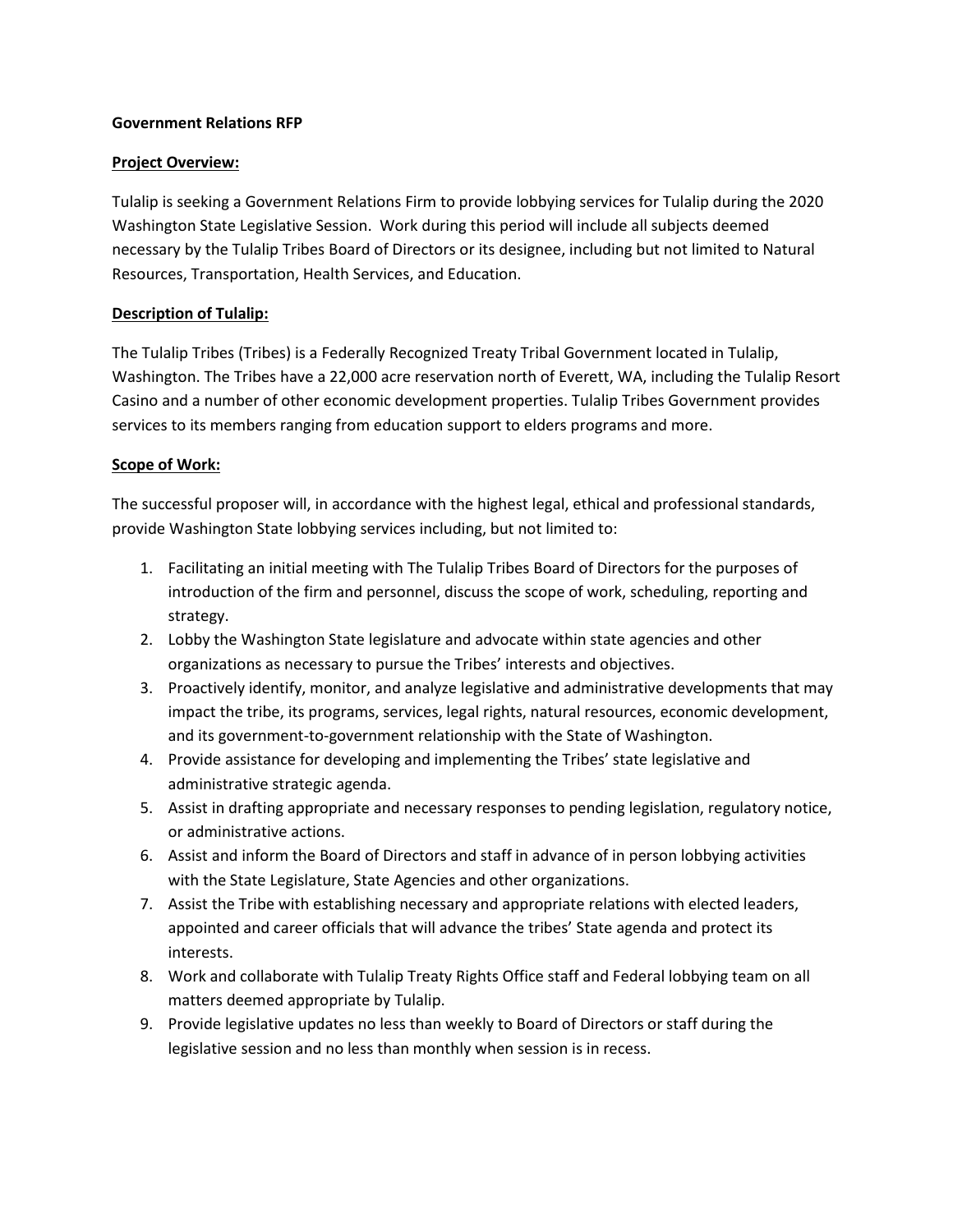## **Government Relations RFP**

#### **Project Overview:**

Tulalip is seeking a Government Relations Firm to provide lobbying services for Tulalip during the 2020 Washington State Legislative Session. Work during this period will include all subjects deemed necessary by the Tulalip Tribes Board of Directors or its designee, including but not limited to Natural Resources, Transportation, Health Services, and Education.

## **Description of Tulalip:**

The Tulalip Tribes (Tribes) is a Federally Recognized Treaty Tribal Government located in Tulalip, Washington. The Tribes have a 22,000 acre reservation north of Everett, WA, including the Tulalip Resort Casino and a number of other economic development properties. Tulalip Tribes Government provides services to its members ranging from education support to elders programs and more.

#### **Scope of Work:**

The successful proposer will, in accordance with the highest legal, ethical and professional standards, provide Washington State lobbying services including, but not limited to:

- 1. Facilitating an initial meeting with The Tulalip Tribes Board of Directors for the purposes of introduction of the firm and personnel, discuss the scope of work, scheduling, reporting and strategy.
- 2. Lobby the Washington State legislature and advocate within state agencies and other organizations as necessary to pursue the Tribes' interests and objectives.
- 3. Proactively identify, monitor, and analyze legislative and administrative developments that may impact the tribe, its programs, services, legal rights, natural resources, economic development, and its government-to-government relationship with the State of Washington.
- 4. Provide assistance for developing and implementing the Tribes' state legislative and administrative strategic agenda.
- 5. Assist in drafting appropriate and necessary responses to pending legislation, regulatory notice, or administrative actions.
- 6. Assist and inform the Board of Directors and staff in advance of in person lobbying activities with the State Legislature, State Agencies and other organizations.
- 7. Assist the Tribe with establishing necessary and appropriate relations with elected leaders, appointed and career officials that will advance the tribes' State agenda and protect its interests.
- 8. Work and collaborate with Tulalip Treaty Rights Office staff and Federal lobbying team on all matters deemed appropriate by Tulalip.
- 9. Provide legislative updates no less than weekly to Board of Directors or staff during the legislative session and no less than monthly when session is in recess.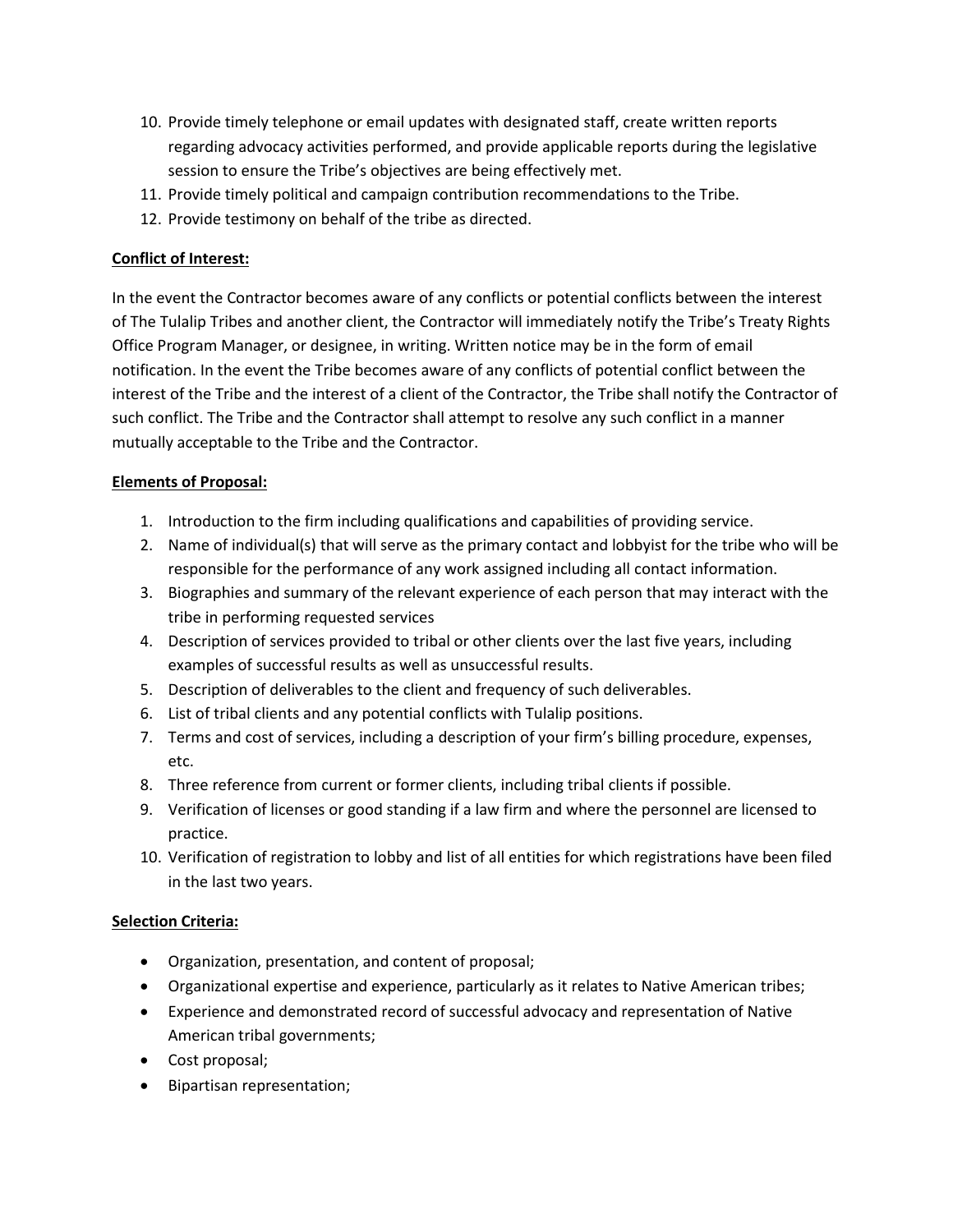- 10. Provide timely telephone or email updates with designated staff, create written reports regarding advocacy activities performed, and provide applicable reports during the legislative session to ensure the Tribe's objectives are being effectively met.
- 11. Provide timely political and campaign contribution recommendations to the Tribe.
- 12. Provide testimony on behalf of the tribe as directed.

# **Conflict of Interest:**

In the event the Contractor becomes aware of any conflicts or potential conflicts between the interest of The Tulalip Tribes and another client, the Contractor will immediately notify the Tribe's Treaty Rights Office Program Manager, or designee, in writing. Written notice may be in the form of email notification. In the event the Tribe becomes aware of any conflicts of potential conflict between the interest of the Tribe and the interest of a client of the Contractor, the Tribe shall notify the Contractor of such conflict. The Tribe and the Contractor shall attempt to resolve any such conflict in a manner mutually acceptable to the Tribe and the Contractor.

# **Elements of Proposal:**

- 1. Introduction to the firm including qualifications and capabilities of providing service.
- 2. Name of individual(s) that will serve as the primary contact and lobbyist for the tribe who will be responsible for the performance of any work assigned including all contact information.
- 3. Biographies and summary of the relevant experience of each person that may interact with the tribe in performing requested services
- 4. Description of services provided to tribal or other clients over the last five years, including examples of successful results as well as unsuccessful results.
- 5. Description of deliverables to the client and frequency of such deliverables.
- 6. List of tribal clients and any potential conflicts with Tulalip positions.
- 7. Terms and cost of services, including a description of your firm's billing procedure, expenses, etc.
- 8. Three reference from current or former clients, including tribal clients if possible.
- 9. Verification of licenses or good standing if a law firm and where the personnel are licensed to practice.
- 10. Verification of registration to lobby and list of all entities for which registrations have been filed in the last two years.

# **Selection Criteria:**

- Organization, presentation, and content of proposal;
- Organizational expertise and experience, particularly as it relates to Native American tribes;
- Experience and demonstrated record of successful advocacy and representation of Native American tribal governments;
- Cost proposal;
- Bipartisan representation;